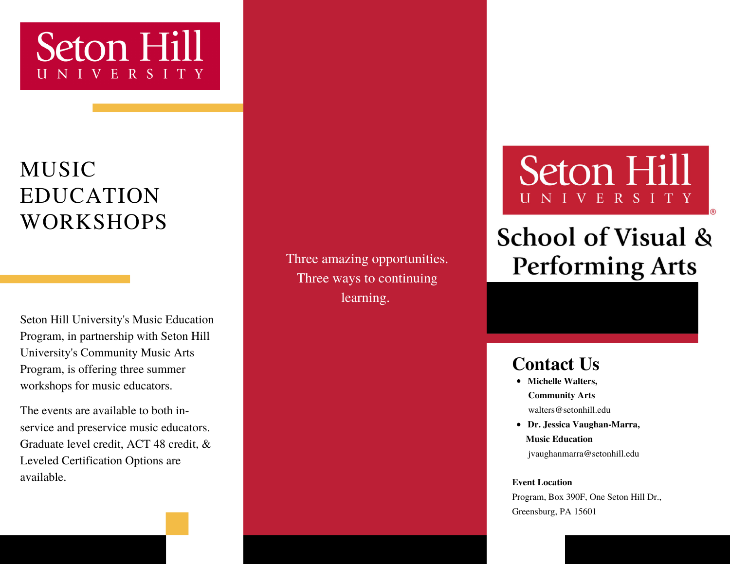### Seton Hill IVERSITY

### MUSIC EDUCATION WORKSHOPS

Seton Hill University's Music Education Program, in partnership with Seton Hill University's Community Music Arts Program, is offering three summer workshops for music educators.

The events are available to both inservice and preservice music educators. Graduate level credit, ACT 48 credit, & Leveled Certification Options are available.

Three amazing opportunities. Three ways to continuing learning.

## Seton Hill ERSITY

### **School of Visual & Performing Arts**

#### **Contact Us**

- **Michelle Walters, Community Arts** walters@setonhill.edu
- **Dr. Jessica Vaughan-Marra, Music Education** jvaughanmarra@setonhill.edu

#### **Event Location**

Program, Box 390F, One Seton Hill Dr., Greensburg, PA 15601